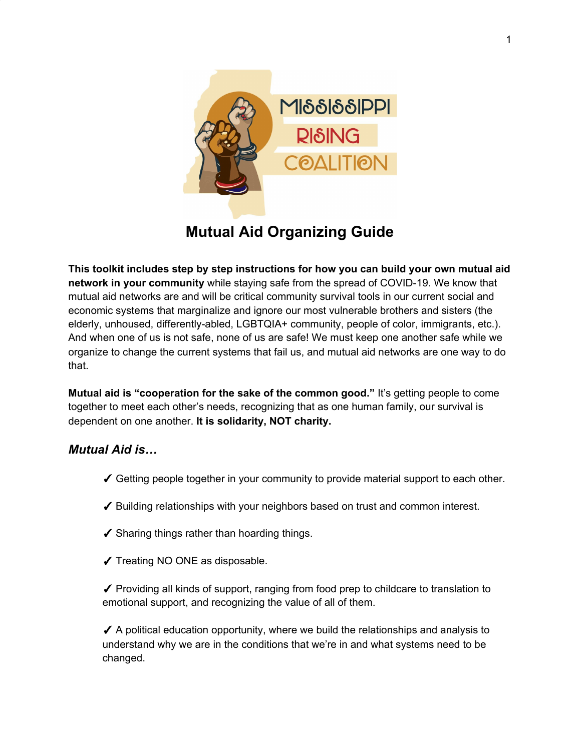

# **Mutual Aid Organizing Guide**

**This toolkit includes step by step instructions for how you can build your own mutual aid network in your community** while staying safe from the spread of COVID-19. We know that mutual aid networks are and will be critical community survival tools in our current social and economic systems that marginalize and ignore our most vulnerable brothers and sisters (the elderly, unhoused, differently-abled, LGBTQIA+ community, people of color, immigrants, etc.). And when one of us is not safe, none of us are safe! We must keep one another safe while we organize to change the current systems that fail us, and mutual aid networks are one way to do that.

**Mutual aid is "cooperation for the sake of the common good."** It's getting people to come together to meet each other's needs, recognizing that as one human family, our survival is dependent on one another. **It is solidarity, NOT charity.**

## *Mutual Aid is…*

- ✓ Getting people together in your community to provide material support to each other.
- ✓ Building relationships with your neighbors based on trust and common interest.
- ✓ Sharing things rather than hoarding things.
- ✓ Treating NO ONE as disposable.

✓ Providing all kinds of support, ranging from food prep to childcare to translation to emotional support, and recognizing the value of all of them.

 $\checkmark$  A political education opportunity, where we build the relationships and analysis to understand why we are in the conditions that we're in and what systems need to be changed.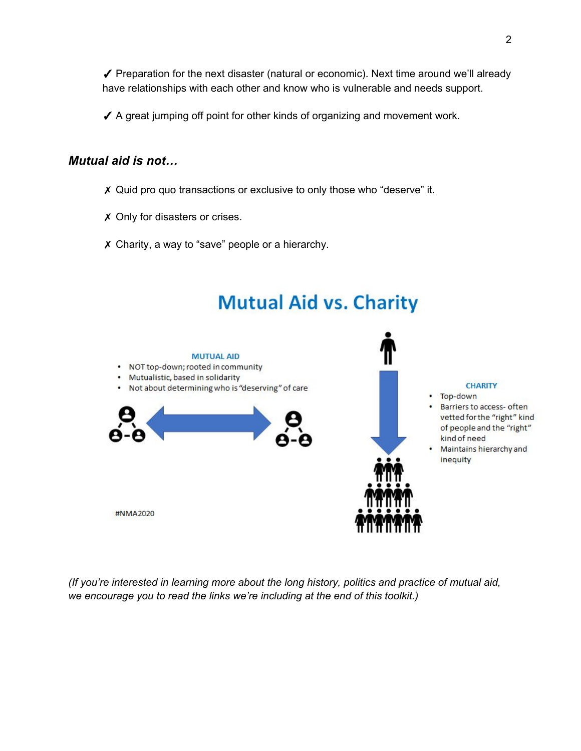✓ Preparation for the next disaster (natural or economic). Next time around we'll already have relationships with each other and know who is vulnerable and needs support.

✓ A great jumping off point for other kinds of organizing and movement work.

## *Mutual aid is not…*

- ✗ Quid pro quo transactions or exclusive to only those who "deserve" it.
- ✗ Only for disasters or crises.
- ✗ Charity, a way to "save" people or a hierarchy.



*(If you're interested in learning more about the long history, politics and practice of mutual aid, we encourage you to read the links we're including at the end of this toolkit.)*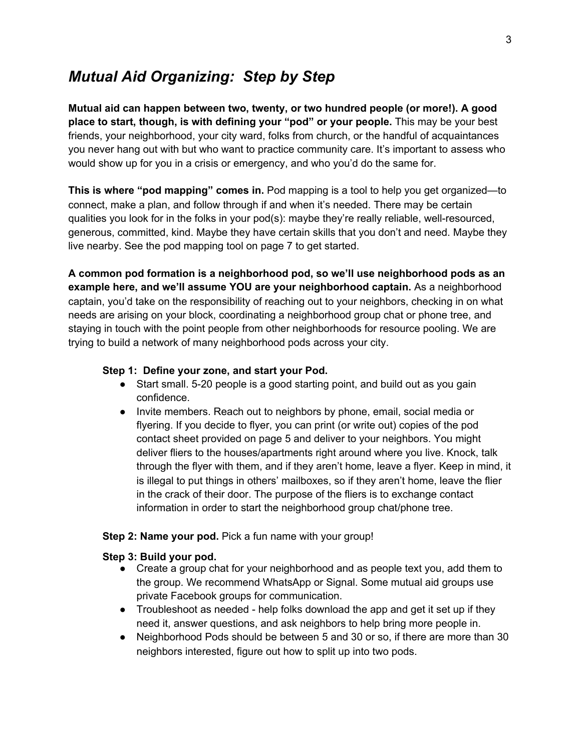## *Mutual Aid Organizing: Step by Step*

**Mutual aid can happen between two, twenty, or two hundred people (or more!). A good place to start, though, is with defining your "pod" or your people.** This may be your best friends, your neighborhood, your city ward, folks from church, or the handful of acquaintances you never hang out with but who want to practice community care. It's important to assess who would show up for you in a crisis or emergency, and who you'd do the same for.

**This is where "pod mapping" comes in.** Pod mapping is a tool to help you get organized—to connect, make a plan, and follow through if and when it's needed. There may be certain qualities you look for in the folks in your pod(s): maybe they're really reliable, well-resourced, generous, committed, kind. Maybe they have certain skills that you don't and need. Maybe they live nearby. See the pod mapping tool on page 7 to get started.

**A common pod formation is a neighborhood pod, so we'll use neighborhood pods as an example here, and we'll assume YOU are your neighborhood captain.** As a neighborhood captain, you'd take on the responsibility of reaching out to your neighbors, checking in on what needs are arising on your block, coordinating a neighborhood group chat or phone tree, and staying in touch with the point people from other neighborhoods for resource pooling. We are trying to build a network of many neighborhood pods across your city.

#### **Step 1: Define your zone, and start your Pod.**

- Start small. 5-20 people is a good starting point, and build out as you gain confidence.
- Invite members. Reach out to neighbors by phone, email, social media or flyering. If you decide to flyer, you can print (or write out) copies of the pod contact sheet provided on page 5 and deliver to your neighbors. You might deliver fliers to the houses/apartments right around where you live. Knock, talk through the flyer with them, and if they aren't home, leave a flyer. Keep in mind, it is illegal to put things in others' mailboxes, so if they aren't home, leave the flier in the crack of their door. The purpose of the fliers is to exchange contact information in order to start the neighborhood group chat/phone tree.

#### **Step 2: Name your pod.** Pick a fun name with your group!

### **Step 3: Build your pod.**

- Create a group chat for your neighborhood and as people text you, add them to the group. We recommend WhatsApp or Signal. Some mutual aid groups use private Facebook groups for communication.
- Troubleshoot as needed help folks download the app and get it set up if they need it, answer questions, and ask neighbors to help bring more people in.
- Neighborhood Pods should be between 5 and 30 or so, if there are more than 30 neighbors interested, figure out how to split up into two pods.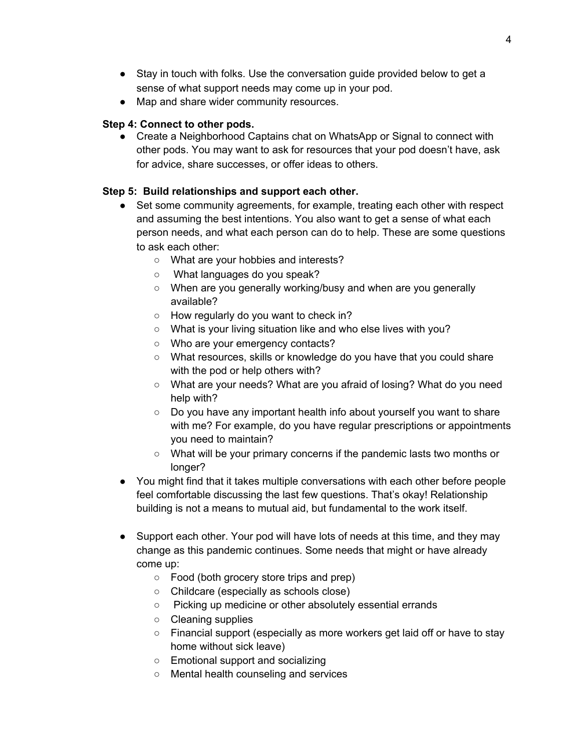- Stay in touch with folks. Use the conversation guide provided below to get a sense of what support needs may come up in your pod.
- Map and share wider community resources.

### **Step 4: Connect to other pods.**

• Create a Neighborhood Captains chat on WhatsApp or Signal to connect with other pods. You may want to ask for resources that your pod doesn't have, ask for advice, share successes, or offer ideas to others.

## **Step 5: Build relationships and support each other.**

- Set some community agreements, for example, treating each other with respect and assuming the best intentions. You also want to get a sense of what each person needs, and what each person can do to help. These are some questions to ask each other:
	- What are your hobbies and interests?
	- What languages do you speak?
	- When are you generally working/busy and when are you generally available?
	- $\circ$  How regularly do you want to check in?
	- What is your living situation like and who else lives with you?
	- Who are your emergency contacts?
	- What resources, skills or knowledge do you have that you could share with the pod or help others with?
	- What are your needs? What are you afraid of losing? What do you need help with?
	- Do you have any important health info about yourself you want to share with me? For example, do you have regular prescriptions or appointments you need to maintain?
	- What will be your primary concerns if the pandemic lasts two months or longer?
- You might find that it takes multiple conversations with each other before people feel comfortable discussing the last few questions. That's okay! Relationship building is not a means to mutual aid, but fundamental to the work itself.
- Support each other. Your pod will have lots of needs at this time, and they may change as this pandemic continues. Some needs that might or have already come up:
	- Food (both grocery store trips and prep)
	- Childcare (especially as schools close)
	- Picking up medicine or other absolutely essential errands
	- Cleaning supplies
	- Financial support (especially as more workers get laid off or have to stay home without sick leave)
	- Emotional support and socializing
	- Mental health counseling and services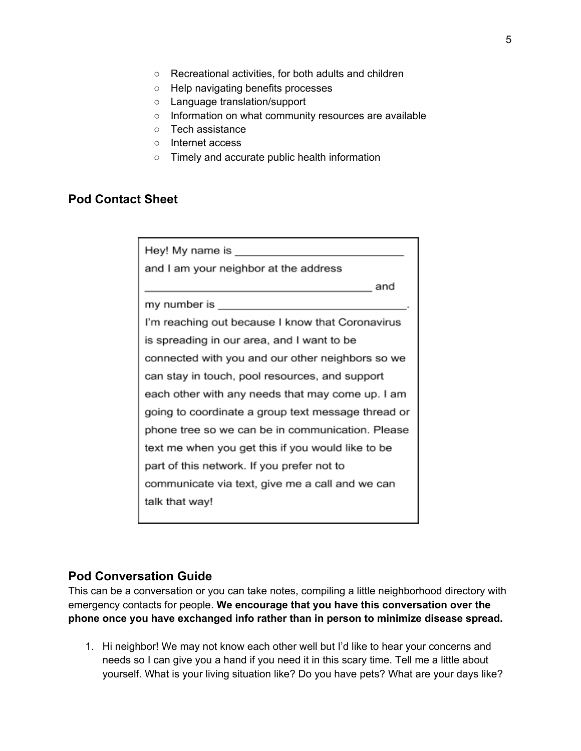- Recreational activities, for both adults and children
- Help navigating benefits processes
- Language translation/support
- Information on what community resources are available
- Tech assistance
- Internet access
- Timely and accurate public health information

#### **Pod Contact Sheet**

| and I am your neighbor at the address              |
|----------------------------------------------------|
| and                                                |
| my number is ________________________________      |
| I'm reaching out because I know that Coronavirus   |
| is spreading in our area, and I want to be         |
| connected with you and our other neighbors so we   |
| can stay in touch, pool resources, and support     |
| each other with any needs that may come up. I am   |
| going to coordinate a group text message thread or |
| phone tree so we can be in communication. Please   |
| text me when you get this if you would like to be  |
| part of this network. If you prefer not to         |
| communicate via text, give me a call and we can    |
| talk that way!                                     |
|                                                    |

### **Pod Conversation Guide**

This can be a conversation or you can take notes, compiling a little neighborhood directory with emergency contacts for people. **We encourage that you have this conversation over the phone once you have exchanged info rather than in person to minimize disease spread.**

1. Hi neighbor! We may not know each other well but I'd like to hear your concerns and needs so I can give you a hand if you need it in this scary time. Tell me a little about yourself. What is your living situation like? Do you have pets? What are your days like?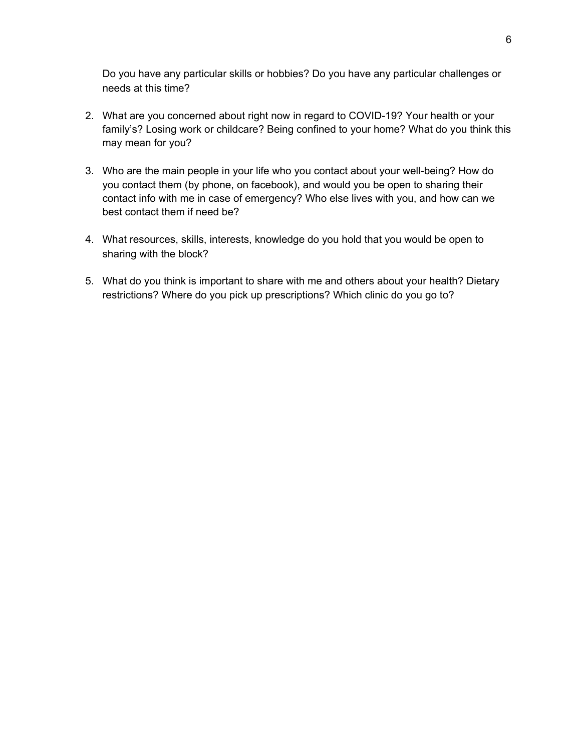Do you have any particular skills or hobbies? Do you have any particular challenges or needs at this time?

- 2. What are you concerned about right now in regard to COVID-19? Your health or your family's? Losing work or childcare? Being confined to your home? What do you think this may mean for you?
- 3. Who are the main people in your life who you contact about your well-being? How do you contact them (by phone, on facebook), and would you be open to sharing their contact info with me in case of emergency? Who else lives with you, and how can we best contact them if need be?
- 4. What resources, skills, interests, knowledge do you hold that you would be open to sharing with the block?
- 5. What do you think is important to share with me and others about your health? Dietary restrictions? Where do you pick up prescriptions? Which clinic do you go to?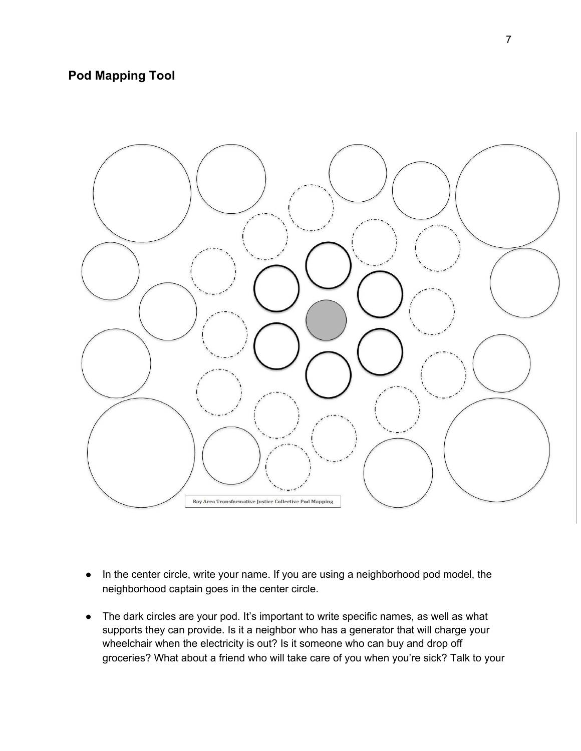## **Pod Mapping Tool**



- In the center circle, write your name. If you are using a neighborhood pod model, the neighborhood captain goes in the center circle.
- The dark circles are your pod. It's important to write specific names, as well as what supports they can provide. Is it a neighbor who has a generator that will charge your wheelchair when the electricity is out? Is it someone who can buy and drop off groceries? What about a friend who will take care of you when you're sick? Talk to your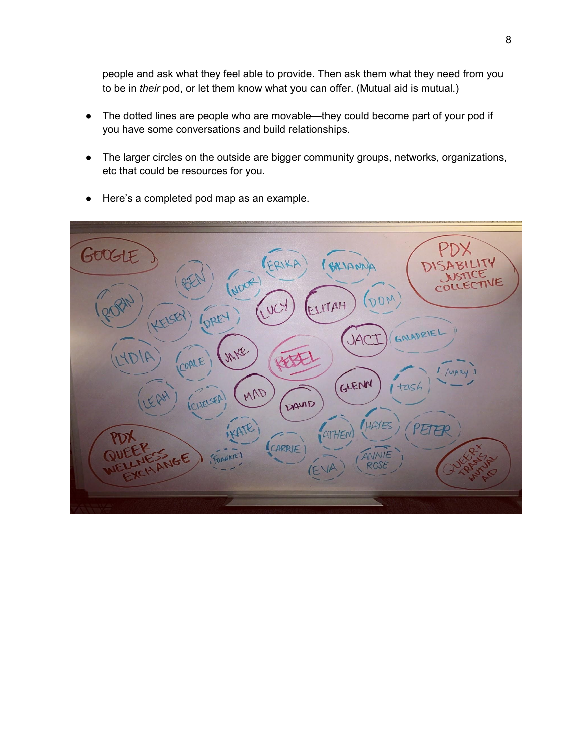people and ask what they feel able to provide. Then ask them what they need from you to be in *their* pod, or let them know what you can offer. (Mutual aid is mutual.)

- The dotted lines are people who are movable—they could become part of your pod if you have some conversations and build relationships.
- The larger circles on the outside are bigger community groups, networks, organizations, etc that could be resources for you.
- PDX GOOGLE COIKE BRIAN NOOR)  $(\partial \rho_\mathcal{W}$ LITAH DREY GALADRIE **JAC** JAKE COALE MAR GLENN MAD tash CHELSER DAVID HAYES ETFR ATHEN CARRIE FRANKIE
- Here's a completed pod map as an example.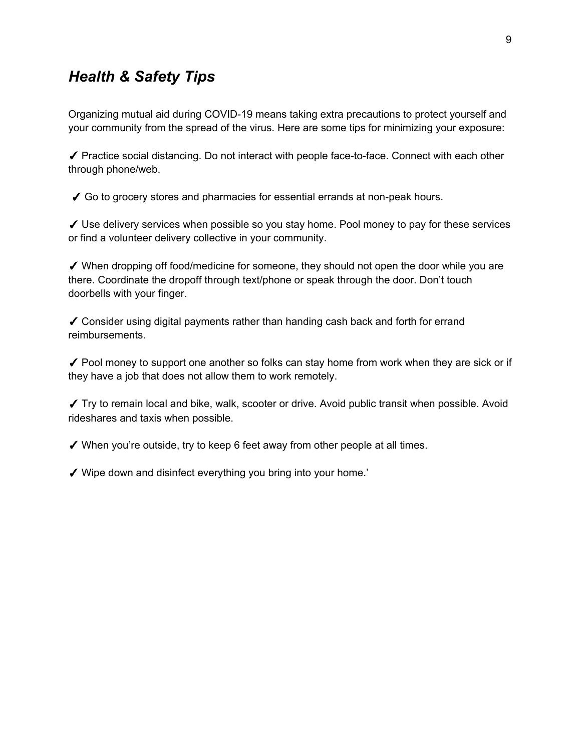## *Health & Safety Tips*

Organizing mutual aid during COVID-19 means taking extra precautions to protect yourself and your community from the spread of the virus. Here are some tips for minimizing your exposure:

✓ Practice social distancing. Do not interact with people face-to-face. Connect with each other through phone/web.

✓ Go to grocery stores and pharmacies for essential errands at non-peak hours.

✓ Use delivery services when possible so you stay home. Pool money to pay for these services or find a volunteer delivery collective in your community.

✓ When dropping off food/medicine for someone, they should not open the door while you are there. Coordinate the dropoff through text/phone or speak through the door. Don't touch doorbells with your finger.

✓ Consider using digital payments rather than handing cash back and forth for errand reimbursements.

 $\checkmark$  Pool money to support one another so folks can stay home from work when they are sick or if they have a job that does not allow them to work remotely.

✓ Try to remain local and bike, walk, scooter or drive. Avoid public transit when possible. Avoid rideshares and taxis when possible.

 $\checkmark$  When you're outside, try to keep 6 feet away from other people at all times.

✓ Wipe down and disinfect everything you bring into your home.'